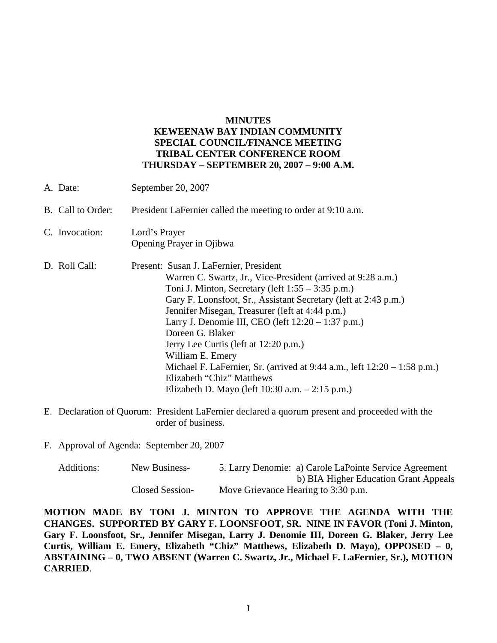## **MINUTES**

## **KEWEENAW BAY INDIAN COMMUNITY SPECIAL COUNCIL/FINANCE MEETING TRIBAL CENTER CONFERENCE ROOM THURSDAY – SEPTEMBER 20, 2007 – 9:00 A.M.**

| A. Date:          | September 20, 2007                                                                                                                                                                                                                                                                                                                                                                                                                                                                                                                                                                              |  |
|-------------------|-------------------------------------------------------------------------------------------------------------------------------------------------------------------------------------------------------------------------------------------------------------------------------------------------------------------------------------------------------------------------------------------------------------------------------------------------------------------------------------------------------------------------------------------------------------------------------------------------|--|
| B. Call to Order: | President LaFernier called the meeting to order at 9:10 a.m.                                                                                                                                                                                                                                                                                                                                                                                                                                                                                                                                    |  |
| C. Invocation:    | Lord's Prayer<br>Opening Prayer in Ojibwa                                                                                                                                                                                                                                                                                                                                                                                                                                                                                                                                                       |  |
| D. Roll Call:     | Present: Susan J. LaFernier, President<br>Warren C. Swartz, Jr., Vice-President (arrived at 9:28 a.m.)<br>Toni J. Minton, Secretary (left $1:55 - 3:35$ p.m.)<br>Gary F. Loonsfoot, Sr., Assistant Secretary (left at 2:43 p.m.)<br>Jennifer Misegan, Treasurer (left at 4:44 p.m.)<br>Larry J. Denomie III, CEO (left $12:20 - 1:37$ p.m.)<br>Doreen G. Blaker<br>Jerry Lee Curtis (left at 12:20 p.m.)<br>William E. Emery<br>Michael F. LaFernier, Sr. (arrived at $9:44$ a.m., left $12:20 - 1:58$ p.m.)<br>Elizabeth "Chiz" Matthews<br>Elizabeth D. Mayo (left $10:30$ a.m. $-2:15$ p.m.) |  |

- E. Declaration of Quorum: President LaFernier declared a quorum present and proceeded with the order of business.
- F. Approval of Agenda: September 20, 2007

| Additions: | New Business-   | 5. Larry Denomie: a) Carole LaPointe Service Agreement |
|------------|-----------------|--------------------------------------------------------|
|            |                 | b) BIA Higher Education Grant Appeals                  |
|            | Closed Session- | Move Grievance Hearing to 3:30 p.m.                    |

**MOTION MADE BY TONI J. MINTON TO APPROVE THE AGENDA WITH THE CHANGES. SUPPORTED BY GARY F. LOONSFOOT, SR. NINE IN FAVOR (Toni J. Minton, Gary F. Loonsfoot, Sr., Jennifer Misegan, Larry J. Denomie III, Doreen G. Blaker, Jerry Lee Curtis, William E. Emery, Elizabeth "Chiz" Matthews, Elizabeth D. Mayo), OPPOSED – 0, ABSTAINING – 0, TWO ABSENT (Warren C. Swartz, Jr., Michael F. LaFernier, Sr.), MOTION CARRIED**.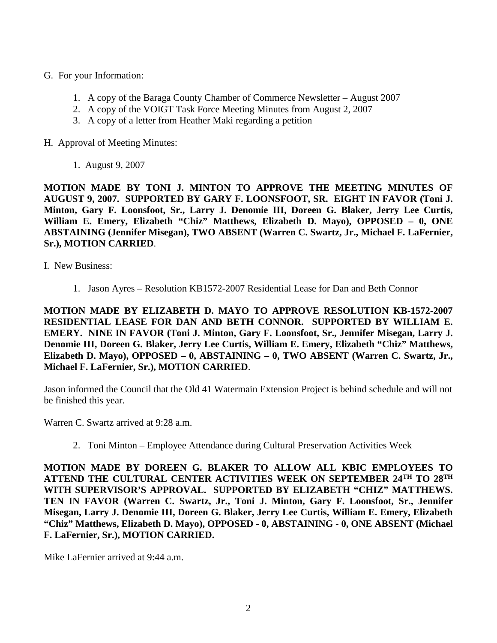- G. For your Information:
	- 1. A copy of the Baraga County Chamber of Commerce Newsletter August 2007
	- 2. A copy of the VOIGT Task Force Meeting Minutes from August 2, 2007
	- 3. A copy of a letter from Heather Maki regarding a petition
- H. Approval of Meeting Minutes:
	- 1. August 9, 2007

**MOTION MADE BY TONI J. MINTON TO APPROVE THE MEETING MINUTES OF AUGUST 9, 2007. SUPPORTED BY GARY F. LOONSFOOT, SR. EIGHT IN FAVOR (Toni J. Minton, Gary F. Loonsfoot, Sr., Larry J. Denomie III, Doreen G. Blaker, Jerry Lee Curtis, William E. Emery, Elizabeth "Chiz" Matthews, Elizabeth D. Mayo), OPPOSED – 0, ONE ABSTAINING (Jennifer Misegan), TWO ABSENT (Warren C. Swartz, Jr., Michael F. LaFernier, Sr.), MOTION CARRIED**.

I. New Business:

1. Jason Ayres – Resolution KB1572-2007 Residential Lease for Dan and Beth Connor

**MOTION MADE BY ELIZABETH D. MAYO TO APPROVE RESOLUTION KB-1572-2007 RESIDENTIAL LEASE FOR DAN AND BETH CONNOR. SUPPORTED BY WILLIAM E. EMERY. NINE IN FAVOR (Toni J. Minton, Gary F. Loonsfoot, Sr., Jennifer Misegan, Larry J. Denomie III, Doreen G. Blaker, Jerry Lee Curtis, William E. Emery, Elizabeth "Chiz" Matthews, Elizabeth D. Mayo), OPPOSED – 0, ABSTAINING – 0, TWO ABSENT (Warren C. Swartz, Jr., Michael F. LaFernier, Sr.), MOTION CARRIED**.

Jason informed the Council that the Old 41 Watermain Extension Project is behind schedule and will not be finished this year.

Warren C. Swartz arrived at 9:28 a.m.

2. Toni Minton – Employee Attendance during Cultural Preservation Activities Week

**MOTION MADE BY DOREEN G. BLAKER TO ALLOW ALL KBIC EMPLOYEES TO ATTEND THE CULTURAL CENTER ACTIVITIES WEEK ON SEPTEMBER 24TH TO 28TH WITH SUPERVISOR'S APPROVAL. SUPPORTED BY ELIZABETH "CHIZ" MATTHEWS. TEN IN FAVOR (Warren C. Swartz, Jr., Toni J. Minton, Gary F. Loonsfoot, Sr., Jennifer Misegan, Larry J. Denomie III, Doreen G. Blaker, Jerry Lee Curtis, William E. Emery, Elizabeth "Chiz" Matthews, Elizabeth D. Mayo), OPPOSED - 0, ABSTAINING - 0, ONE ABSENT (Michael F. LaFernier, Sr.), MOTION CARRIED.**

Mike LaFernier arrived at 9:44 a.m.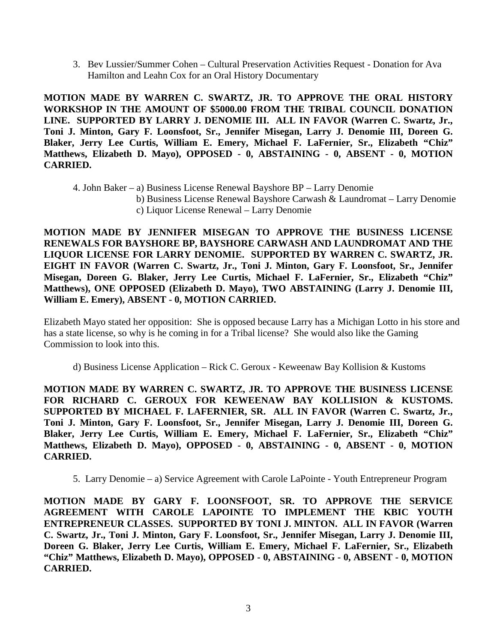3. Bev Lussier/Summer Cohen – Cultural Preservation Activities Request - Donation for Ava Hamilton and Leahn Cox for an Oral History Documentary

**MOTION MADE BY WARREN C. SWARTZ, JR. TO APPROVE THE ORAL HISTORY WORKSHOP IN THE AMOUNT OF \$5000.00 FROM THE TRIBAL COUNCIL DONATION LINE. SUPPORTED BY LARRY J. DENOMIE III. ALL IN FAVOR (Warren C. Swartz, Jr., Toni J. Minton, Gary F. Loonsfoot, Sr., Jennifer Misegan, Larry J. Denomie III, Doreen G. Blaker, Jerry Lee Curtis, William E. Emery, Michael F. LaFernier, Sr., Elizabeth "Chiz" Matthews, Elizabeth D. Mayo), OPPOSED - 0, ABSTAINING - 0, ABSENT - 0, MOTION CARRIED.**

4. John Baker – a) Business License Renewal Bayshore BP – Larry Denomie

- b) Business License Renewal Bayshore Carwash & Laundromat Larry Denomie
- c) Liquor License Renewal Larry Denomie

**MOTION MADE BY JENNIFER MISEGAN TO APPROVE THE BUSINESS LICENSE RENEWALS FOR BAYSHORE BP, BAYSHORE CARWASH AND LAUNDROMAT AND THE LIQUOR LICENSE FOR LARRY DENOMIE. SUPPORTED BY WARREN C. SWARTZ, JR. EIGHT IN FAVOR (Warren C. Swartz, Jr., Toni J. Minton, Gary F. Loonsfoot, Sr., Jennifer Misegan, Doreen G. Blaker, Jerry Lee Curtis, Michael F. LaFernier, Sr., Elizabeth "Chiz" Matthews), ONE OPPOSED (Elizabeth D. Mayo), TWO ABSTAINING (Larry J. Denomie III, William E. Emery), ABSENT - 0, MOTION CARRIED.**

Elizabeth Mayo stated her opposition: She is opposed because Larry has a Michigan Lotto in his store and has a state license, so why is he coming in for a Tribal license? She would also like the Gaming Commission to look into this.

d) Business License Application – Rick C. Geroux - Keweenaw Bay Kollision & Kustoms

**MOTION MADE BY WARREN C. SWARTZ, JR. TO APPROVE THE BUSINESS LICENSE FOR RICHARD C. GEROUX FOR KEWEENAW BAY KOLLISION & KUSTOMS. SUPPORTED BY MICHAEL F. LAFERNIER, SR. ALL IN FAVOR (Warren C. Swartz, Jr., Toni J. Minton, Gary F. Loonsfoot, Sr., Jennifer Misegan, Larry J. Denomie III, Doreen G. Blaker, Jerry Lee Curtis, William E. Emery, Michael F. LaFernier, Sr., Elizabeth "Chiz" Matthews, Elizabeth D. Mayo), OPPOSED - 0, ABSTAINING - 0, ABSENT - 0, MOTION CARRIED.**

5. Larry Denomie – a) Service Agreement with Carole LaPointe - Youth Entrepreneur Program

**MOTION MADE BY GARY F. LOONSFOOT, SR. TO APPROVE THE SERVICE AGREEMENT WITH CAROLE LAPOINTE TO IMPLEMENT THE KBIC YOUTH ENTREPRENEUR CLASSES. SUPPORTED BY TONI J. MINTON. ALL IN FAVOR (Warren C. Swartz, Jr., Toni J. Minton, Gary F. Loonsfoot, Sr., Jennifer Misegan, Larry J. Denomie III, Doreen G. Blaker, Jerry Lee Curtis, William E. Emery, Michael F. LaFernier, Sr., Elizabeth "Chiz" Matthews, Elizabeth D. Mayo), OPPOSED - 0, ABSTAINING - 0, ABSENT - 0, MOTION CARRIED.**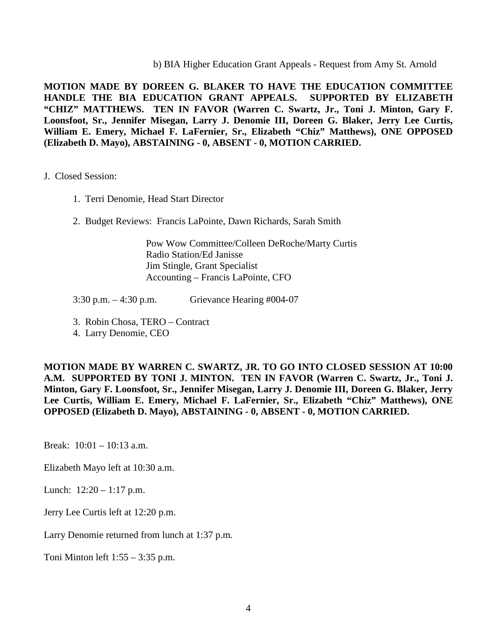b) BIA Higher Education Grant Appeals - Request from Amy St. Arnold

**MOTION MADE BY DOREEN G. BLAKER TO HAVE THE EDUCATION COMMITTEE HANDLE THE BIA EDUCATION GRANT APPEALS. SUPPORTED BY ELIZABETH "CHIZ" MATTHEWS. TEN IN FAVOR (Warren C. Swartz, Jr., Toni J. Minton, Gary F. Loonsfoot, Sr., Jennifer Misegan, Larry J. Denomie III, Doreen G. Blaker, Jerry Lee Curtis, William E. Emery, Michael F. LaFernier, Sr., Elizabeth "Chiz" Matthews), ONE OPPOSED (Elizabeth D. Mayo), ABSTAINING - 0, ABSENT - 0, MOTION CARRIED.**

## J. Closed Session:

- 1. Terri Denomie, Head Start Director
- 2. Budget Reviews: Francis LaPointe, Dawn Richards, Sarah Smith

 Pow Wow Committee/Colleen DeRoche/Marty Curtis Radio Station/Ed Janisse Jim Stingle, Grant Specialist Accounting – Francis LaPointe, CFO

3:30 p.m. – 4:30 p.m. Grievance Hearing #004-07

- 3. Robin Chosa, TERO Contract
- 4. Larry Denomie, CEO

**MOTION MADE BY WARREN C. SWARTZ, JR. TO GO INTO CLOSED SESSION AT 10:00 A.M. SUPPORTED BY TONI J. MINTON. TEN IN FAVOR (Warren C. Swartz, Jr., Toni J. Minton, Gary F. Loonsfoot, Sr., Jennifer Misegan, Larry J. Denomie III, Doreen G. Blaker, Jerry Lee Curtis, William E. Emery, Michael F. LaFernier, Sr., Elizabeth "Chiz" Matthews), ONE OPPOSED (Elizabeth D. Mayo), ABSTAINING - 0, ABSENT - 0, MOTION CARRIED.**

Break: 10:01 – 10:13 a.m.

Elizabeth Mayo left at 10:30 a.m.

Lunch: 12:20 – 1:17 p.m.

Jerry Lee Curtis left at 12:20 p.m.

Larry Denomie returned from lunch at 1:37 p.m.

Toni Minton left 1:55 – 3:35 p.m.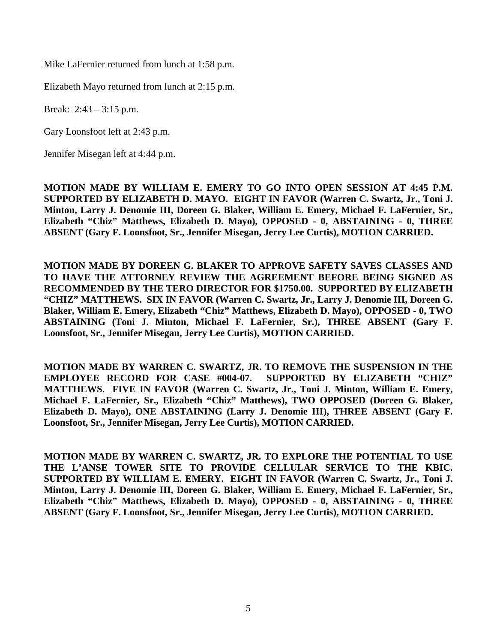Mike LaFernier returned from lunch at 1:58 p.m.

Elizabeth Mayo returned from lunch at 2:15 p.m.

Break: 2:43 – 3:15 p.m.

Gary Loonsfoot left at 2:43 p.m.

Jennifer Misegan left at 4:44 p.m.

**MOTION MADE BY WILLIAM E. EMERY TO GO INTO OPEN SESSION AT 4:45 P.M. SUPPORTED BY ELIZABETH D. MAYO. EIGHT IN FAVOR (Warren C. Swartz, Jr., Toni J. Minton, Larry J. Denomie III, Doreen G. Blaker, William E. Emery, Michael F. LaFernier, Sr., Elizabeth "Chiz" Matthews, Elizabeth D. Mayo), OPPOSED - 0, ABSTAINING - 0, THREE ABSENT (Gary F. Loonsfoot, Sr., Jennifer Misegan, Jerry Lee Curtis), MOTION CARRIED.**

**MOTION MADE BY DOREEN G. BLAKER TO APPROVE SAFETY SAVES CLASSES AND TO HAVE THE ATTORNEY REVIEW THE AGREEMENT BEFORE BEING SIGNED AS RECOMMENDED BY THE TERO DIRECTOR FOR \$1750.00. SUPPORTED BY ELIZABETH "CHIZ" MATTHEWS. SIX IN FAVOR (Warren C. Swartz, Jr., Larry J. Denomie III, Doreen G. Blaker, William E. Emery, Elizabeth "Chiz" Matthews, Elizabeth D. Mayo), OPPOSED - 0, TWO ABSTAINING (Toni J. Minton, Michael F. LaFernier, Sr.), THREE ABSENT (Gary F. Loonsfoot, Sr., Jennifer Misegan, Jerry Lee Curtis), MOTION CARRIED.**

**MOTION MADE BY WARREN C. SWARTZ, JR. TO REMOVE THE SUSPENSION IN THE EMPLOYEE RECORD FOR CASE #004-07. SUPPORTED BY ELIZABETH "CHIZ" MATTHEWS. FIVE IN FAVOR (Warren C. Swartz, Jr., Toni J. Minton, William E. Emery, Michael F. LaFernier, Sr., Elizabeth "Chiz" Matthews), TWO OPPOSED (Doreen G. Blaker, Elizabeth D. Mayo), ONE ABSTAINING (Larry J. Denomie III), THREE ABSENT (Gary F. Loonsfoot, Sr., Jennifer Misegan, Jerry Lee Curtis), MOTION CARRIED.**

**MOTION MADE BY WARREN C. SWARTZ, JR. TO EXPLORE THE POTENTIAL TO USE THE L'ANSE TOWER SITE TO PROVIDE CELLULAR SERVICE TO THE KBIC. SUPPORTED BY WILLIAM E. EMERY. EIGHT IN FAVOR (Warren C. Swartz, Jr., Toni J. Minton, Larry J. Denomie III, Doreen G. Blaker, William E. Emery, Michael F. LaFernier, Sr., Elizabeth "Chiz" Matthews, Elizabeth D. Mayo), OPPOSED - 0, ABSTAINING - 0, THREE ABSENT (Gary F. Loonsfoot, Sr., Jennifer Misegan, Jerry Lee Curtis), MOTION CARRIED.**